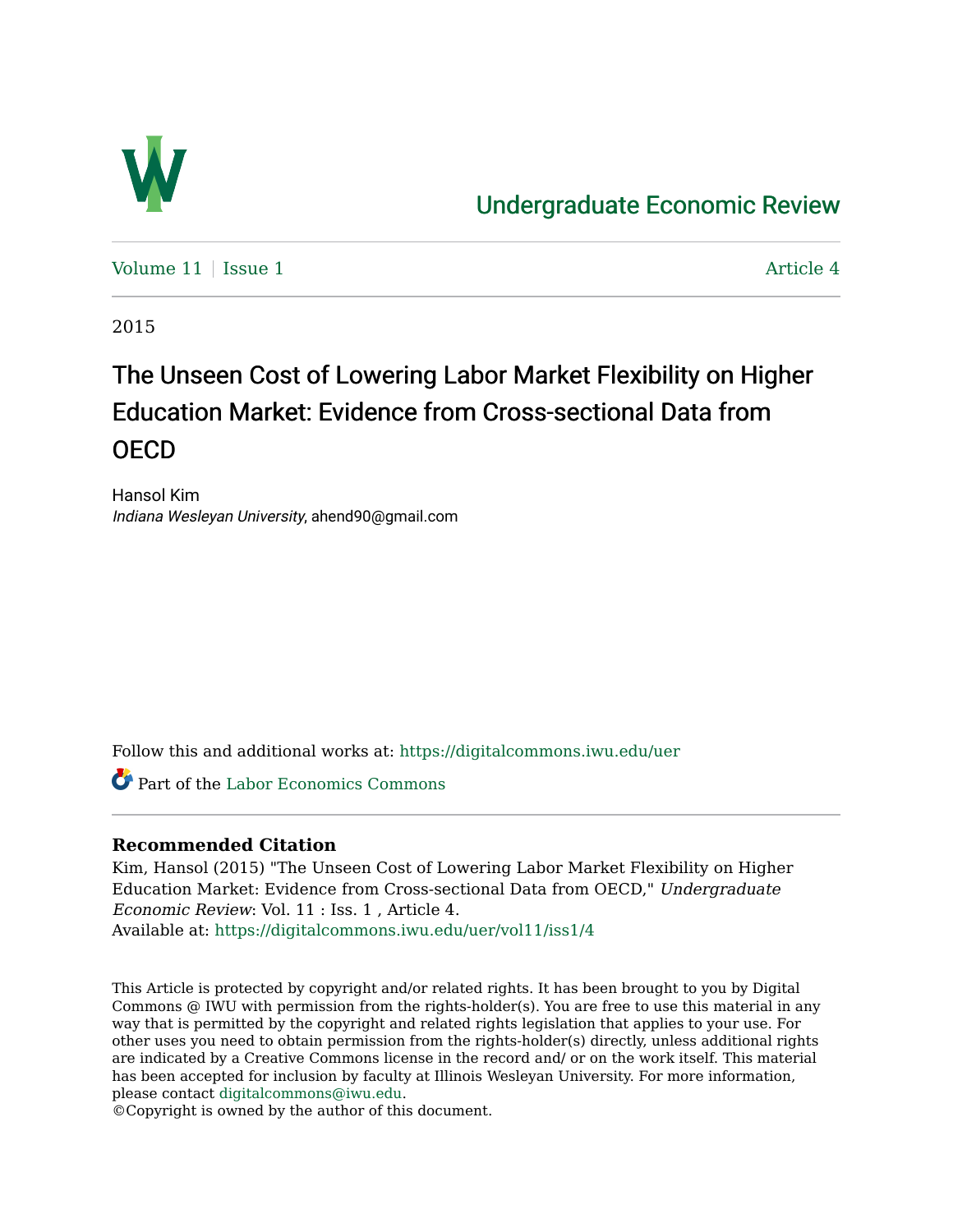

## [Undergraduate Economic Review](https://digitalcommons.iwu.edu/uer)

Volume  $11$  | [Issue 1](https://digitalcommons.iwu.edu/uer/vol11/iss1)  $\blacksquare$ 

2015

# The Unseen Cost of Lowering Labor Market Flexibility on Higher Education Market: Evidence from Cross-sectional Data from OECD

Hansol Kim Indiana Wesleyan University, ahend90@gmail.com

Follow this and additional works at: [https://digitalcommons.iwu.edu/uer](https://digitalcommons.iwu.edu/uer?utm_source=digitalcommons.iwu.edu%2Fuer%2Fvol11%2Fiss1%2F4&utm_medium=PDF&utm_campaign=PDFCoverPages)

Part of the [Labor Economics Commons](http://network.bepress.com/hgg/discipline/349?utm_source=digitalcommons.iwu.edu%2Fuer%2Fvol11%2Fiss1%2F4&utm_medium=PDF&utm_campaign=PDFCoverPages) 

#### **Recommended Citation**

Kim, Hansol (2015) "The Unseen Cost of Lowering Labor Market Flexibility on Higher Education Market: Evidence from Cross-sectional Data from OECD," Undergraduate Economic Review: Vol. 11 : Iss. 1 , Article 4. Available at: [https://digitalcommons.iwu.edu/uer/vol11/iss1/4](https://digitalcommons.iwu.edu/uer/vol11/iss1/4?utm_source=digitalcommons.iwu.edu%2Fuer%2Fvol11%2Fiss1%2F4&utm_medium=PDF&utm_campaign=PDFCoverPages)

This Article is protected by copyright and/or related rights. It has been brought to you by Digital Commons @ IWU with permission from the rights-holder(s). You are free to use this material in any way that is permitted by the copyright and related rights legislation that applies to your use. For other uses you need to obtain permission from the rights-holder(s) directly, unless additional rights are indicated by a Creative Commons license in the record and/ or on the work itself. This material has been accepted for inclusion by faculty at Illinois Wesleyan University. For more information, please contact [digitalcommons@iwu.edu.](mailto:digitalcommons@iwu.edu)

©Copyright is owned by the author of this document.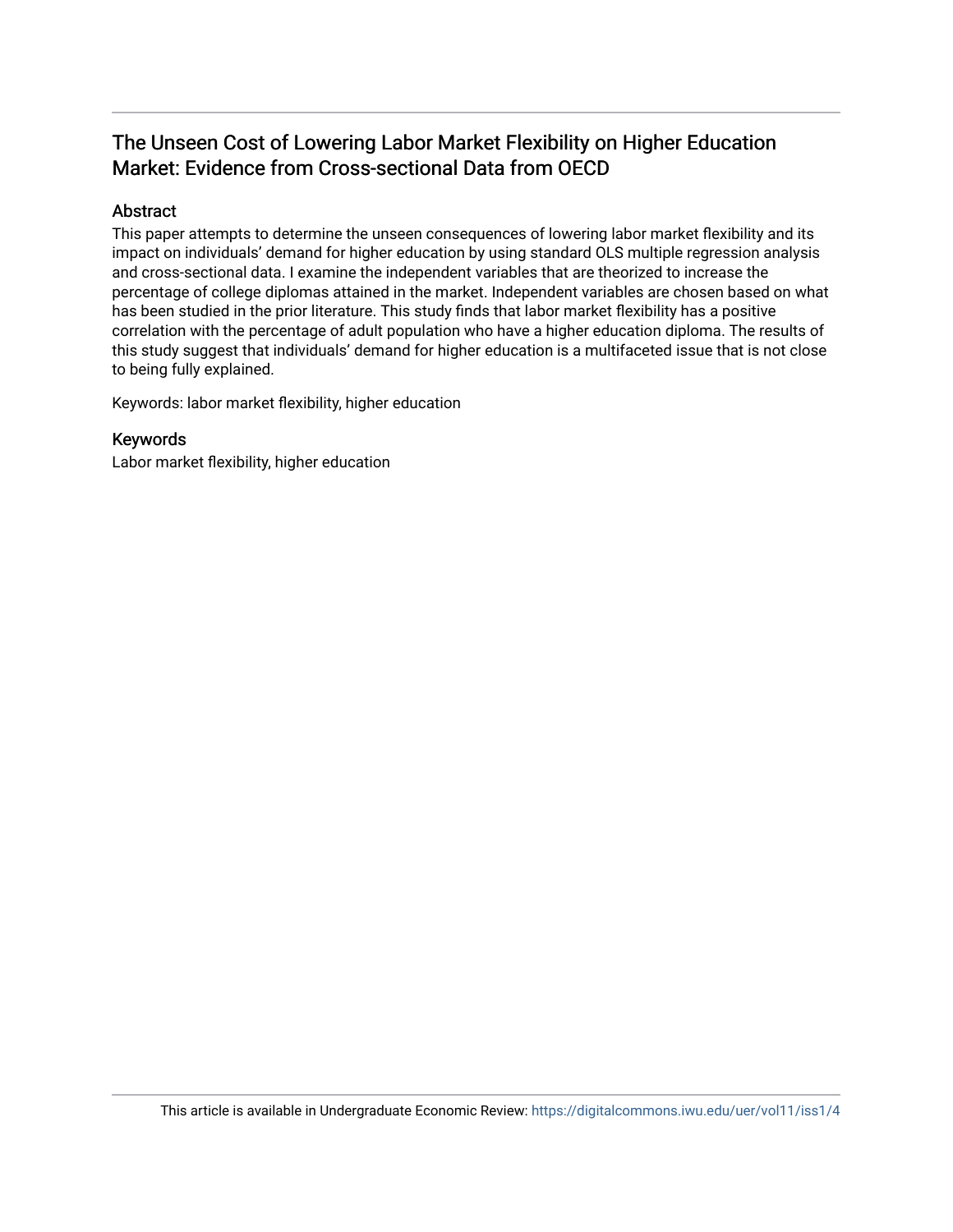### The Unseen Cost of Lowering Labor Market Flexibility on Higher Education Market: Evidence from Cross-sectional Data from OECD

#### Abstract

This paper attempts to determine the unseen consequences of lowering labor market flexibility and its impact on individuals' demand for higher education by using standard OLS multiple regression analysis and cross-sectional data. I examine the independent variables that are theorized to increase the percentage of college diplomas attained in the market. Independent variables are chosen based on what has been studied in the prior literature. This study finds that labor market flexibility has a positive correlation with the percentage of adult population who have a higher education diploma. The results of this study suggest that individuals' demand for higher education is a multifaceted issue that is not close to being fully explained.

Keywords: labor market flexibility, higher education

#### Keywords

Labor market flexibility, higher education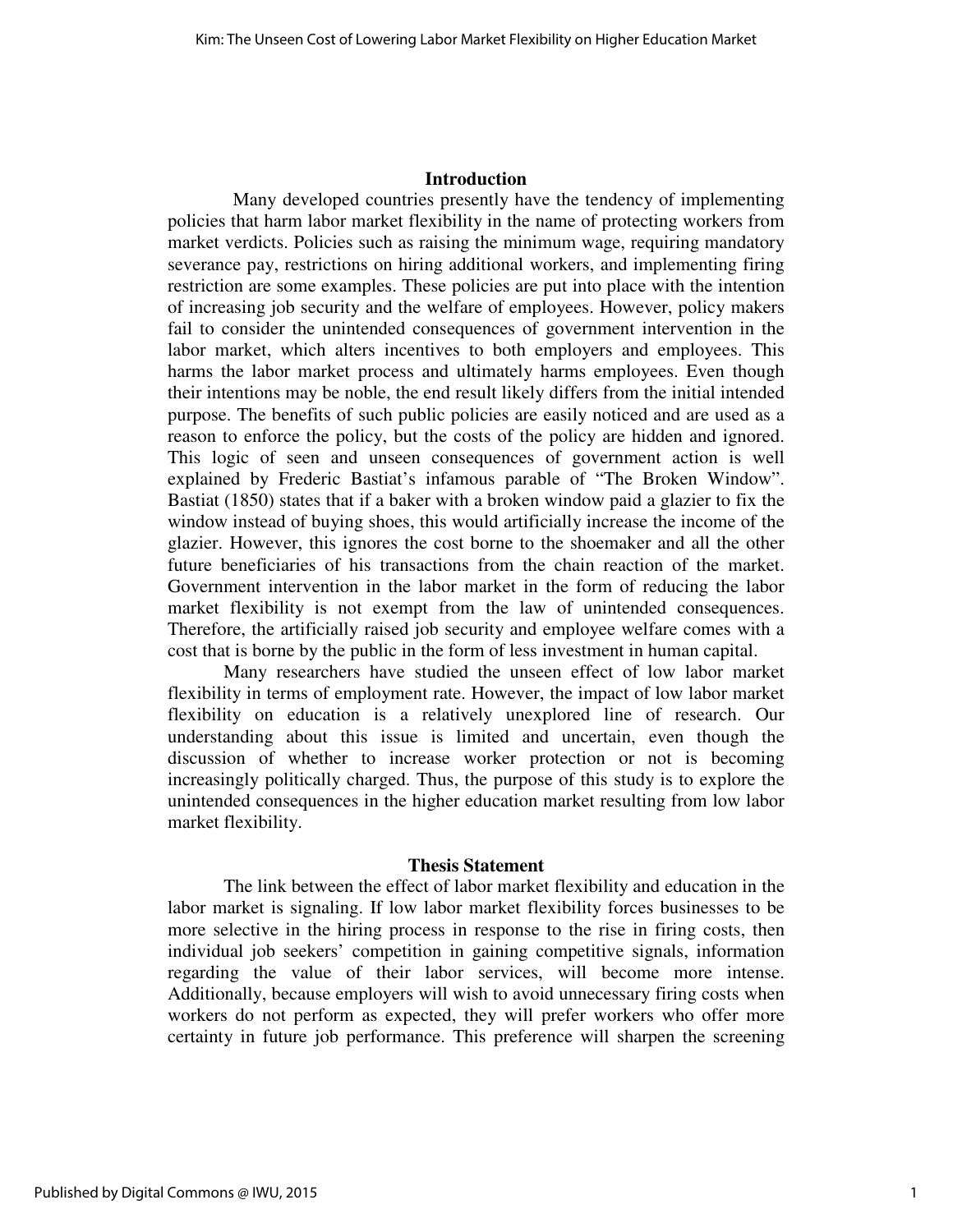#### **Introduction**

 Many developed countries presently have the tendency of implementing policies that harm labor market flexibility in the name of protecting workers from market verdicts. Policies such as raising the minimum wage, requiring mandatory severance pay, restrictions on hiring additional workers, and implementing firing restriction are some examples. These policies are put into place with the intention of increasing job security and the welfare of employees. However, policy makers fail to consider the unintended consequences of government intervention in the labor market, which alters incentives to both employers and employees. This harms the labor market process and ultimately harms employees. Even though their intentions may be noble, the end result likely differs from the initial intended purpose. The benefits of such public policies are easily noticed and are used as a reason to enforce the policy, but the costs of the policy are hidden and ignored. This logic of seen and unseen consequences of government action is well explained by Frederic Bastiat's infamous parable of "The Broken Window". Bastiat (1850) states that if a baker with a broken window paid a glazier to fix the window instead of buying shoes, this would artificially increase the income of the glazier. However, this ignores the cost borne to the shoemaker and all the other future beneficiaries of his transactions from the chain reaction of the market. Government intervention in the labor market in the form of reducing the labor market flexibility is not exempt from the law of unintended consequences. Therefore, the artificially raised job security and employee welfare comes with a cost that is borne by the public in the form of less investment in human capital.

 Many researchers have studied the unseen effect of low labor market flexibility in terms of employment rate. However, the impact of low labor market flexibility on education is a relatively unexplored line of research. Our understanding about this issue is limited and uncertain, even though the discussion of whether to increase worker protection or not is becoming increasingly politically charged. Thus, the purpose of this study is to explore the unintended consequences in the higher education market resulting from low labor market flexibility.

#### **Thesis Statement**

 The link between the effect of labor market flexibility and education in the labor market is signaling. If low labor market flexibility forces businesses to be more selective in the hiring process in response to the rise in firing costs, then individual job seekers' competition in gaining competitive signals, information regarding the value of their labor services, will become more intense. Additionally, because employers will wish to avoid unnecessary firing costs when workers do not perform as expected, they will prefer workers who offer more certainty in future job performance. This preference will sharpen the screening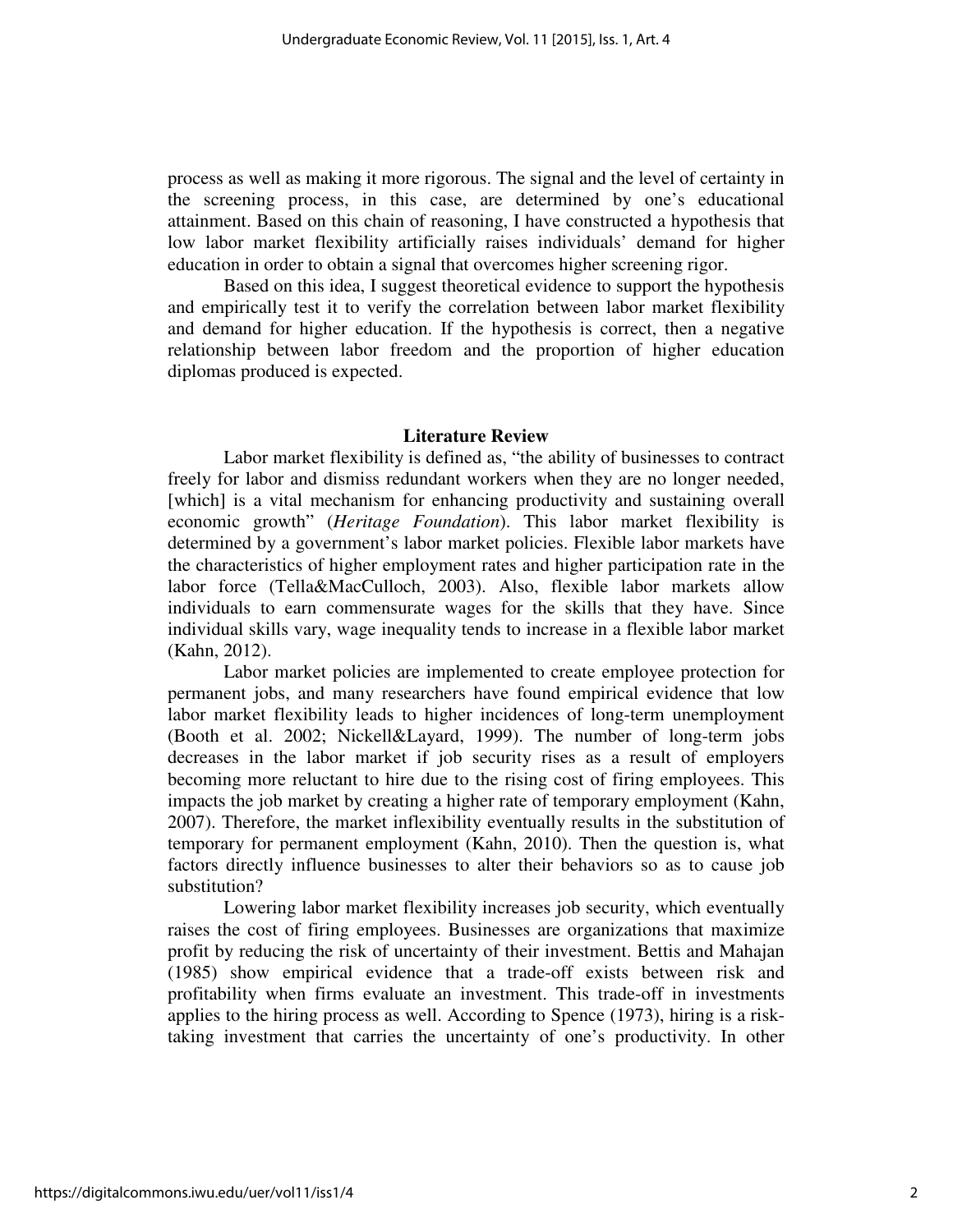process as well as making it more rigorous. The signal and the level of certainty in the screening process, in this case, are determined by one's educational attainment. Based on this chain of reasoning, I have constructed a hypothesis that low labor market flexibility artificially raises individuals' demand for higher education in order to obtain a signal that overcomes higher screening rigor.

 Based on this idea, I suggest theoretical evidence to support the hypothesis and empirically test it to verify the correlation between labor market flexibility and demand for higher education. If the hypothesis is correct, then a negative relationship between labor freedom and the proportion of higher education diplomas produced is expected.

#### **Literature Review**

 Labor market flexibility is defined as, "the ability of businesses to contract freely for labor and dismiss redundant workers when they are no longer needed, [which] is a vital mechanism for enhancing productivity and sustaining overall economic growth" (*Heritage Foundation*). This labor market flexibility is determined by a government's labor market policies. Flexible labor markets have the characteristics of higher employment rates and higher participation rate in the labor force (Tella&MacCulloch, 2003). Also, flexible labor markets allow individuals to earn commensurate wages for the skills that they have. Since individual skills vary, wage inequality tends to increase in a flexible labor market (Kahn, 2012).

 Labor market policies are implemented to create employee protection for permanent jobs, and many researchers have found empirical evidence that low labor market flexibility leads to higher incidences of long-term unemployment (Booth et al. 2002; Nickell&Layard, 1999). The number of long-term jobs decreases in the labor market if job security rises as a result of employers becoming more reluctant to hire due to the rising cost of firing employees. This impacts the job market by creating a higher rate of temporary employment (Kahn, 2007). Therefore, the market inflexibility eventually results in the substitution of temporary for permanent employment (Kahn, 2010). Then the question is, what factors directly influence businesses to alter their behaviors so as to cause job substitution?

 Lowering labor market flexibility increases job security, which eventually raises the cost of firing employees. Businesses are organizations that maximize profit by reducing the risk of uncertainty of their investment. Bettis and Mahajan (1985) show empirical evidence that a trade-off exists between risk and profitability when firms evaluate an investment. This trade-off in investments applies to the hiring process as well. According to Spence (1973), hiring is a risktaking investment that carries the uncertainty of one's productivity. In other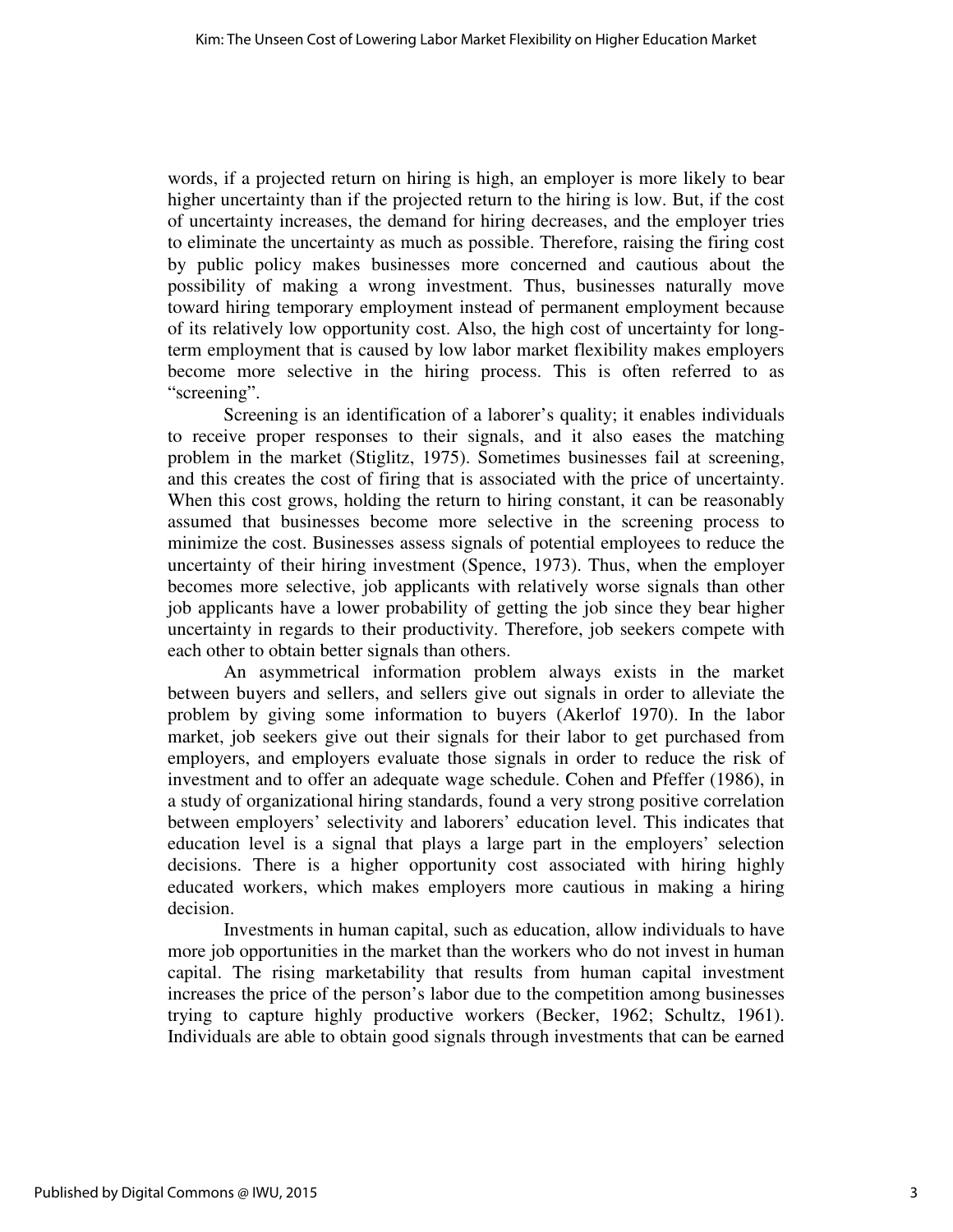words, if a projected return on hiring is high, an employer is more likely to bear higher uncertainty than if the projected return to the hiring is low. But, if the cost of uncertainty increases, the demand for hiring decreases, and the employer tries to eliminate the uncertainty as much as possible. Therefore, raising the firing cost by public policy makes businesses more concerned and cautious about the possibility of making a wrong investment. Thus, businesses naturally move toward hiring temporary employment instead of permanent employment because of its relatively low opportunity cost. Also, the high cost of uncertainty for longterm employment that is caused by low labor market flexibility makes employers become more selective in the hiring process. This is often referred to as "screening".

 Screening is an identification of a laborer's quality; it enables individuals to receive proper responses to their signals, and it also eases the matching problem in the market (Stiglitz, 1975). Sometimes businesses fail at screening, and this creates the cost of firing that is associated with the price of uncertainty. When this cost grows, holding the return to hiring constant, it can be reasonably assumed that businesses become more selective in the screening process to minimize the cost. Businesses assess signals of potential employees to reduce the uncertainty of their hiring investment (Spence, 1973). Thus, when the employer becomes more selective, job applicants with relatively worse signals than other job applicants have a lower probability of getting the job since they bear higher uncertainty in regards to their productivity. Therefore, job seekers compete with each other to obtain better signals than others.

 An asymmetrical information problem always exists in the market between buyers and sellers, and sellers give out signals in order to alleviate the problem by giving some information to buyers (Akerlof 1970). In the labor market, job seekers give out their signals for their labor to get purchased from employers, and employers evaluate those signals in order to reduce the risk of investment and to offer an adequate wage schedule. Cohen and Pfeffer (1986), in a study of organizational hiring standards, found a very strong positive correlation between employers' selectivity and laborers' education level. This indicates that education level is a signal that plays a large part in the employers' selection decisions. There is a higher opportunity cost associated with hiring highly educated workers, which makes employers more cautious in making a hiring decision.

 Investments in human capital, such as education, allow individuals to have more job opportunities in the market than the workers who do not invest in human capital. The rising marketability that results from human capital investment increases the price of the person's labor due to the competition among businesses trying to capture highly productive workers (Becker, 1962; Schultz, 1961). Individuals are able to obtain good signals through investments that can be earned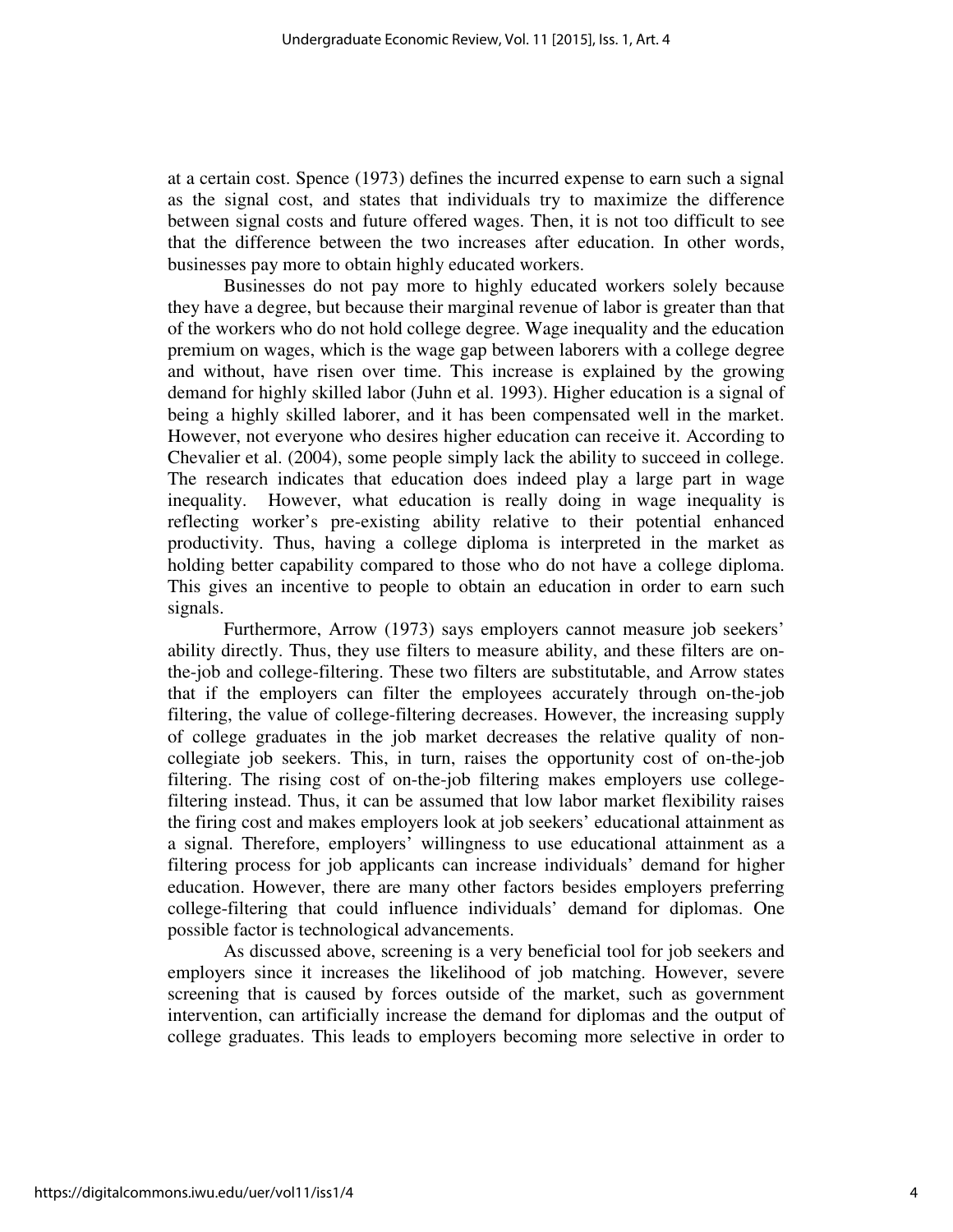at a certain cost. Spence (1973) defines the incurred expense to earn such a signal as the signal cost, and states that individuals try to maximize the difference between signal costs and future offered wages. Then, it is not too difficult to see that the difference between the two increases after education. In other words, businesses pay more to obtain highly educated workers.

 Businesses do not pay more to highly educated workers solely because they have a degree, but because their marginal revenue of labor is greater than that of the workers who do not hold college degree. Wage inequality and the education premium on wages, which is the wage gap between laborers with a college degree and without, have risen over time. This increase is explained by the growing demand for highly skilled labor (Juhn et al. 1993). Higher education is a signal of being a highly skilled laborer, and it has been compensated well in the market. However, not everyone who desires higher education can receive it. According to Chevalier et al. (2004), some people simply lack the ability to succeed in college. The research indicates that education does indeed play a large part in wage inequality. However, what education is really doing in wage inequality is reflecting worker's pre-existing ability relative to their potential enhanced productivity. Thus, having a college diploma is interpreted in the market as holding better capability compared to those who do not have a college diploma. This gives an incentive to people to obtain an education in order to earn such signals.

 Furthermore, Arrow (1973) says employers cannot measure job seekers' ability directly. Thus, they use filters to measure ability, and these filters are onthe-job and college-filtering. These two filters are substitutable, and Arrow states that if the employers can filter the employees accurately through on-the-job filtering, the value of college-filtering decreases. However, the increasing supply of college graduates in the job market decreases the relative quality of noncollegiate job seekers. This, in turn, raises the opportunity cost of on-the-job filtering. The rising cost of on-the-job filtering makes employers use collegefiltering instead. Thus, it can be assumed that low labor market flexibility raises the firing cost and makes employers look at job seekers' educational attainment as a signal. Therefore, employers' willingness to use educational attainment as a filtering process for job applicants can increase individuals' demand for higher education. However, there are many other factors besides employers preferring college-filtering that could influence individuals' demand for diplomas. One possible factor is technological advancements.

 As discussed above, screening is a very beneficial tool for job seekers and employers since it increases the likelihood of job matching. However, severe screening that is caused by forces outside of the market, such as government intervention, can artificially increase the demand for diplomas and the output of college graduates. This leads to employers becoming more selective in order to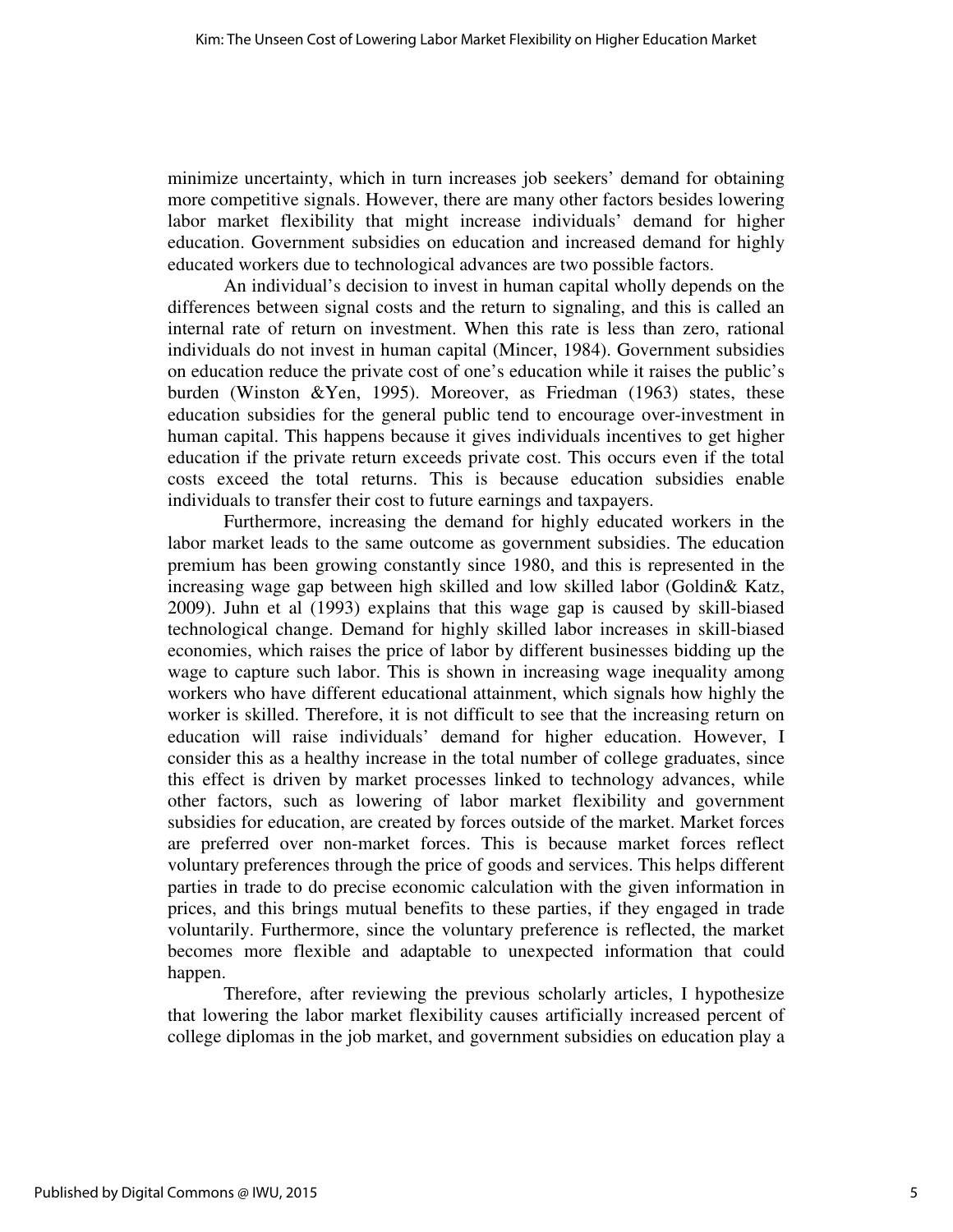minimize uncertainty, which in turn increases job seekers' demand for obtaining more competitive signals. However, there are many other factors besides lowering labor market flexibility that might increase individuals' demand for higher education. Government subsidies on education and increased demand for highly educated workers due to technological advances are two possible factors.

 An individual's decision to invest in human capital wholly depends on the differences between signal costs and the return to signaling, and this is called an internal rate of return on investment. When this rate is less than zero, rational individuals do not invest in human capital (Mincer, 1984). Government subsidies on education reduce the private cost of one's education while it raises the public's burden (Winston &Yen, 1995). Moreover, as Friedman (1963) states, these education subsidies for the general public tend to encourage over-investment in human capital. This happens because it gives individuals incentives to get higher education if the private return exceeds private cost. This occurs even if the total costs exceed the total returns. This is because education subsidies enable individuals to transfer their cost to future earnings and taxpayers.

 Furthermore, increasing the demand for highly educated workers in the labor market leads to the same outcome as government subsidies. The education premium has been growing constantly since 1980, and this is represented in the increasing wage gap between high skilled and low skilled labor (Goldin& Katz, 2009). Juhn et al (1993) explains that this wage gap is caused by skill-biased technological change. Demand for highly skilled labor increases in skill-biased economies, which raises the price of labor by different businesses bidding up the wage to capture such labor. This is shown in increasing wage inequality among workers who have different educational attainment, which signals how highly the worker is skilled. Therefore, it is not difficult to see that the increasing return on education will raise individuals' demand for higher education. However, I consider this as a healthy increase in the total number of college graduates, since this effect is driven by market processes linked to technology advances, while other factors, such as lowering of labor market flexibility and government subsidies for education, are created by forces outside of the market. Market forces are preferred over non-market forces. This is because market forces reflect voluntary preferences through the price of goods and services. This helps different parties in trade to do precise economic calculation with the given information in prices, and this brings mutual benefits to these parties, if they engaged in trade voluntarily. Furthermore, since the voluntary preference is reflected, the market becomes more flexible and adaptable to unexpected information that could happen.

 Therefore, after reviewing the previous scholarly articles, I hypothesize that lowering the labor market flexibility causes artificially increased percent of college diplomas in the job market, and government subsidies on education play a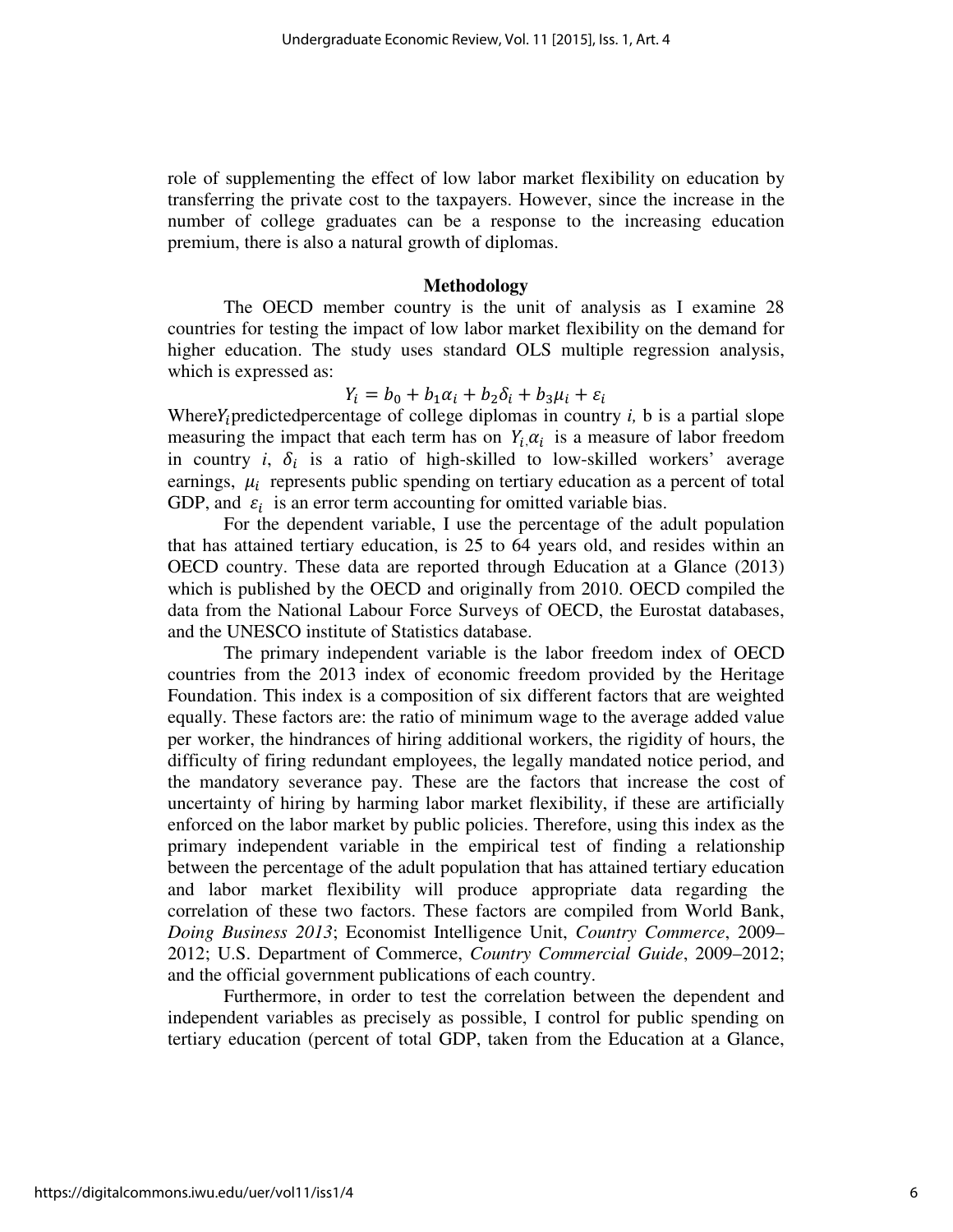role of supplementing the effect of low labor market flexibility on education by transferring the private cost to the taxpayers. However, since the increase in the number of college graduates can be a response to the increasing education premium, there is also a natural growth of diplomas.

#### **Methodology**

 The OECD member country is the unit of analysis as I examine 28 countries for testing the impact of low labor market flexibility on the demand for higher education. The study uses standard OLS multiple regression analysis, which is expressed as:

$$
Y_i = b_0 + b_1 \alpha_i + b_2 \delta_i + b_3 \mu_i + \varepsilon_i
$$

Where $Y_i$  predicted percentage of college diplomas in country  $i$ ,  $b$  is a partial slope measuring the impact that each term has on  $Y_i, \alpha_i$  is a measure of labor freedom in country  $i$ ,  $\delta_i$  is a ratio of high-skilled to low-skilled workers' average earnings,  $\mu_i$  represents public spending on tertiary education as a percent of total GDP, and  $\varepsilon_i$  is an error term accounting for omitted variable bias.

 For the dependent variable, I use the percentage of the adult population that has attained tertiary education, is 25 to 64 years old, and resides within an OECD country. These data are reported through Education at a Glance (2013) which is published by the OECD and originally from 2010. OECD compiled the data from the National Labour Force Surveys of OECD, the Eurostat databases, and the UNESCO institute of Statistics database.

 The primary independent variable is the labor freedom index of OECD countries from the 2013 index of economic freedom provided by the Heritage Foundation. This index is a composition of six different factors that are weighted equally. These factors are: the ratio of minimum wage to the average added value per worker, the hindrances of hiring additional workers, the rigidity of hours, the difficulty of firing redundant employees, the legally mandated notice period, and the mandatory severance pay. These are the factors that increase the cost of uncertainty of hiring by harming labor market flexibility, if these are artificially enforced on the labor market by public policies. Therefore, using this index as the primary independent variable in the empirical test of finding a relationship between the percentage of the adult population that has attained tertiary education and labor market flexibility will produce appropriate data regarding the correlation of these two factors. These factors are compiled from World Bank, *Doing Business 2013*; Economist Intelligence Unit, *Country Commerce*, 2009– 2012; U.S. Department of Commerce, *Country Commercial Guide*, 2009–2012; and the official government publications of each country.

 Furthermore, in order to test the correlation between the dependent and independent variables as precisely as possible, I control for public spending on tertiary education (percent of total GDP, taken from the Education at a Glance,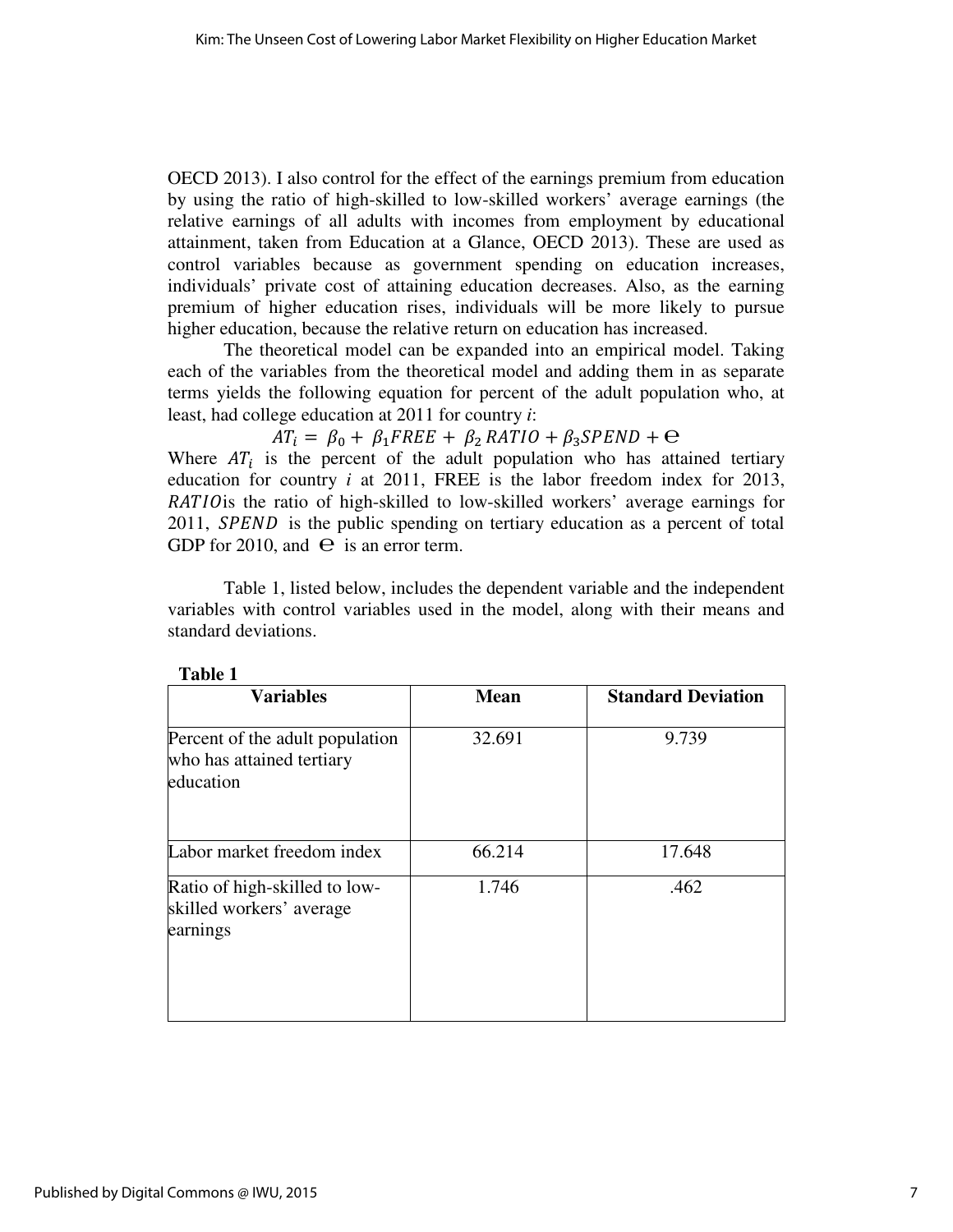OECD 2013). I also control for the effect of the earnings premium from education by using the ratio of high-skilled to low-skilled workers' average earnings (the relative earnings of all adults with incomes from employment by educational attainment, taken from Education at a Glance, OECD 2013). These are used as control variables because as government spending on education increases, individuals' private cost of attaining education decreases. Also, as the earning premium of higher education rises, individuals will be more likely to pursue higher education, because the relative return on education has increased.

 The theoretical model can be expanded into an empirical model. Taking each of the variables from the theoretical model and adding them in as separate terms yields the following equation for percent of the adult population who, at least, had college education at 2011 for country *i*:

 $AT_i = \beta_0 + \beta_1 FREE + \beta_2 RATIO + \beta_3 SPEND + \Theta$ 

Where  $AT_i$  is the percent of the adult population who has attained tertiary education for country *i* at 2011, FREE is the labor freedom index for 2013, RATIO is the ratio of high-skilled to low-skilled workers' average earnings for 2011, SPEND is the public spending on tertiary education as a percent of total GDP for 2010, and  $\Theta$  is an error term.

 Table 1, listed below, includes the dependent variable and the independent variables with control variables used in the model, along with their means and standard deviations.

| <b>Variables</b>                                                          | <b>Mean</b> | <b>Standard Deviation</b> |
|---------------------------------------------------------------------------|-------------|---------------------------|
| Percent of the adult population<br>who has attained tertiary<br>education | 32.691      | 9.739                     |
| Labor market freedom index                                                | 66.214      | 17.648                    |
| Ratio of high-skilled to low-<br>skilled workers' average<br>earnings     | 1.746       | .462                      |

**Table 1**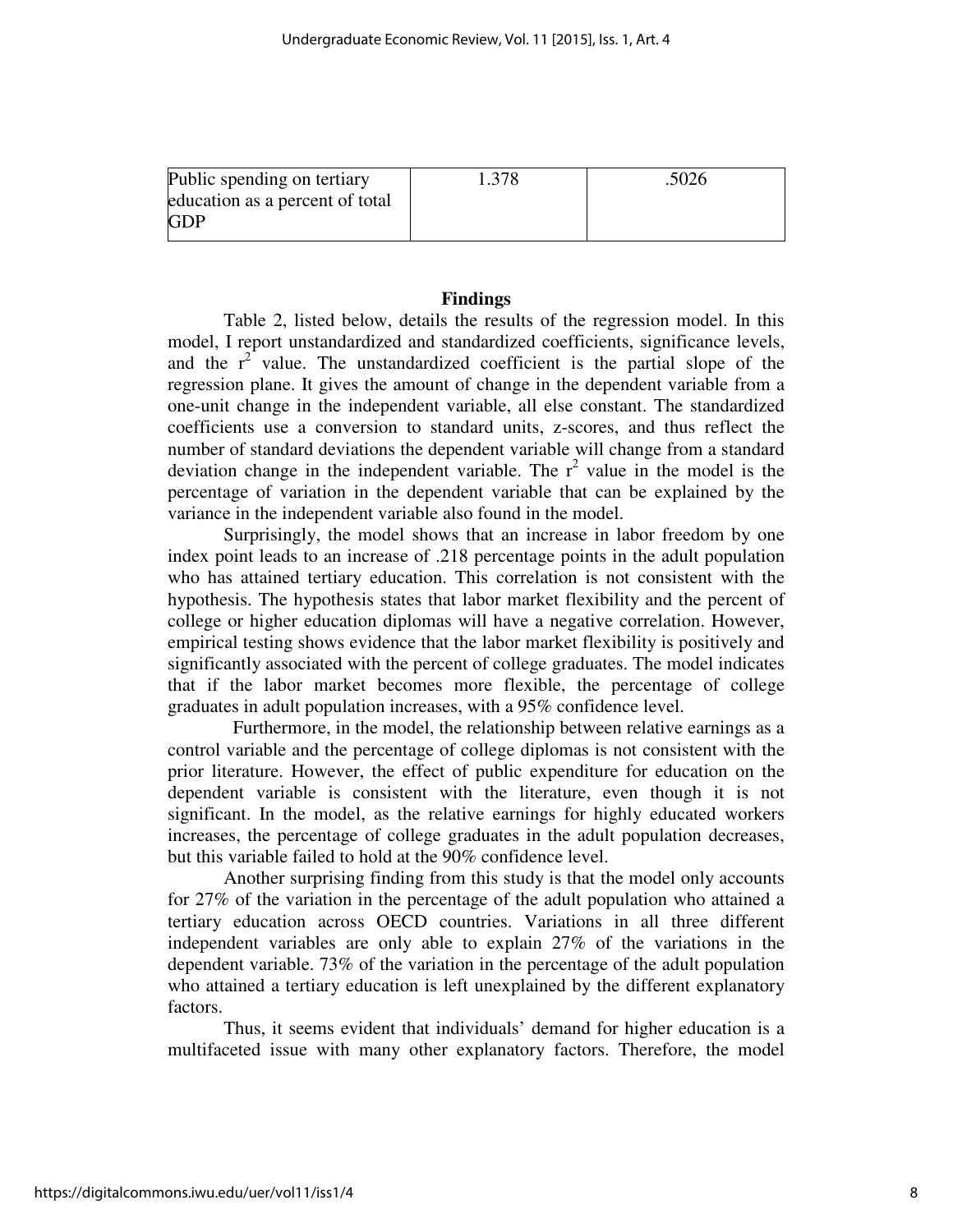| Public spending on tertiary     | 1.378 | .5026 |
|---------------------------------|-------|-------|
| education as a percent of total |       |       |
| <b>GDP</b>                      |       |       |

#### **Findings**

 Table 2, listed below, details the results of the regression model. In this model, I report unstandardized and standardized coefficients, significance levels, and the  $r^2$  value. The unstandardized coefficient is the partial slope of the regression plane. It gives the amount of change in the dependent variable from a one-unit change in the independent variable, all else constant. The standardized coefficients use a conversion to standard units, z-scores, and thus reflect the number of standard deviations the dependent variable will change from a standard deviation change in the independent variable. The  $r^2$  value in the model is the percentage of variation in the dependent variable that can be explained by the variance in the independent variable also found in the model.

 Surprisingly, the model shows that an increase in labor freedom by one index point leads to an increase of .218 percentage points in the adult population who has attained tertiary education. This correlation is not consistent with the hypothesis. The hypothesis states that labor market flexibility and the percent of college or higher education diplomas will have a negative correlation. However, empirical testing shows evidence that the labor market flexibility is positively and significantly associated with the percent of college graduates. The model indicates that if the labor market becomes more flexible, the percentage of college graduates in adult population increases, with a 95% confidence level.

 Furthermore, in the model, the relationship between relative earnings as a control variable and the percentage of college diplomas is not consistent with the prior literature. However, the effect of public expenditure for education on the dependent variable is consistent with the literature, even though it is not significant. In the model, as the relative earnings for highly educated workers increases, the percentage of college graduates in the adult population decreases, but this variable failed to hold at the 90% confidence level.

 Another surprising finding from this study is that the model only accounts for 27% of the variation in the percentage of the adult population who attained a tertiary education across OECD countries. Variations in all three different independent variables are only able to explain 27% of the variations in the dependent variable. 73% of the variation in the percentage of the adult population who attained a tertiary education is left unexplained by the different explanatory factors.

 Thus, it seems evident that individuals' demand for higher education is a multifaceted issue with many other explanatory factors. Therefore, the model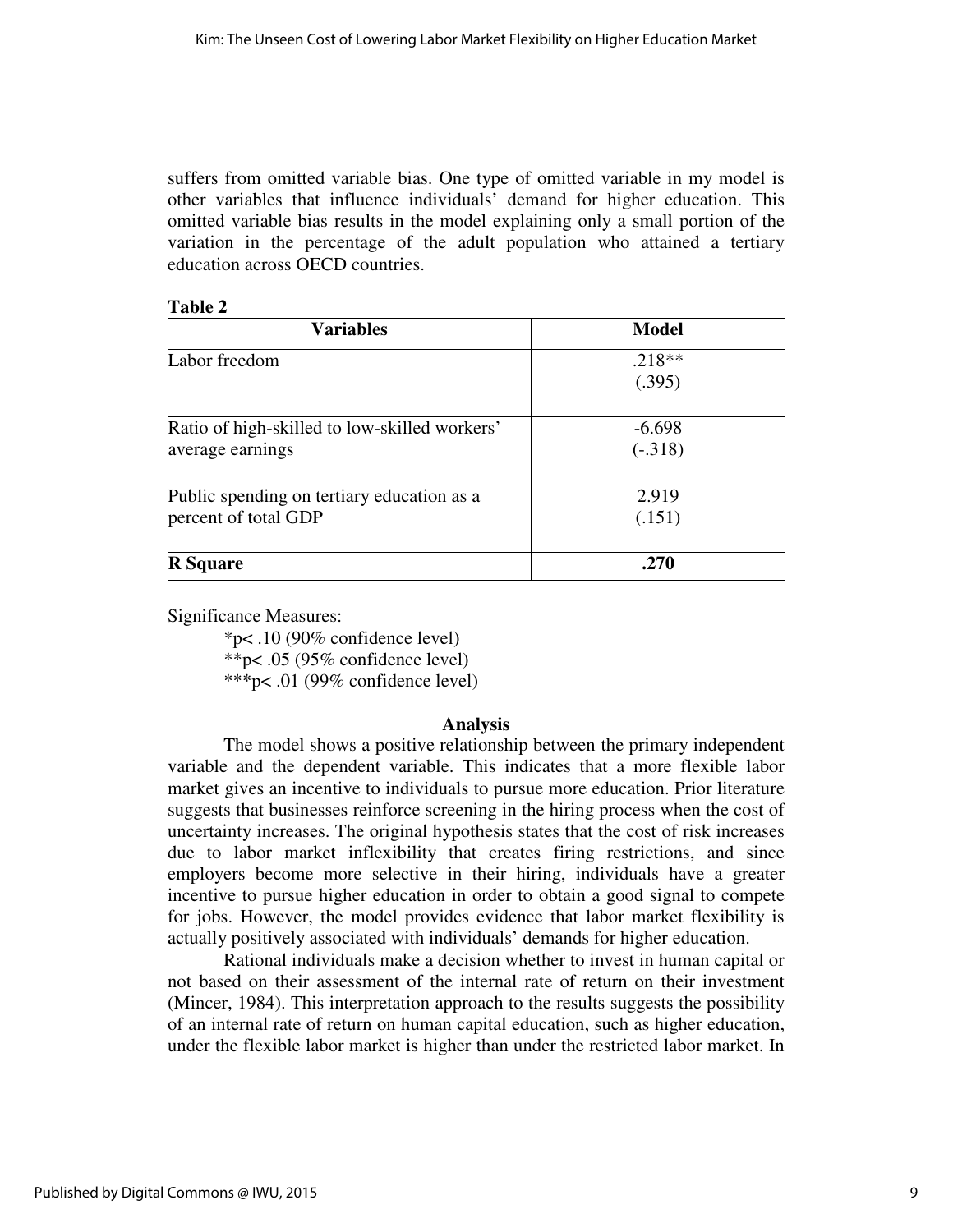suffers from omitted variable bias. One type of omitted variable in my model is other variables that influence individuals' demand for higher education. This omitted variable bias results in the model explaining only a small portion of the variation in the percentage of the adult population who attained a tertiary education across OECD countries.

| ١<br>H<br>Ш<br>n |  |
|------------------|--|
|------------------|--|

| <b>Variables</b>                                                   | <b>Model</b>       |
|--------------------------------------------------------------------|--------------------|
| Labor freedom                                                      | $.218**$<br>(.395) |
| Ratio of high-skilled to low-skilled workers'                      | $-6.698$           |
| average earnings                                                   | $(-.318)$          |
| Public spending on tertiary education as a<br>percent of total GDP | 2.919<br>(.151)    |
| <b>R</b> Square                                                    | .270               |

Significance Measures:

 \*p< .10 (90% confidence level) \*\*p< .05 (95% confidence level) \*\*\*p< .01 (99% confidence level)

#### **Analysis**

 The model shows a positive relationship between the primary independent variable and the dependent variable. This indicates that a more flexible labor market gives an incentive to individuals to pursue more education. Prior literature suggests that businesses reinforce screening in the hiring process when the cost of uncertainty increases. The original hypothesis states that the cost of risk increases due to labor market inflexibility that creates firing restrictions, and since employers become more selective in their hiring, individuals have a greater incentive to pursue higher education in order to obtain a good signal to compete for jobs. However, the model provides evidence that labor market flexibility is actually positively associated with individuals' demands for higher education.

 Rational individuals make a decision whether to invest in human capital or not based on their assessment of the internal rate of return on their investment (Mincer, 1984). This interpretation approach to the results suggests the possibility of an internal rate of return on human capital education, such as higher education, under the flexible labor market is higher than under the restricted labor market. In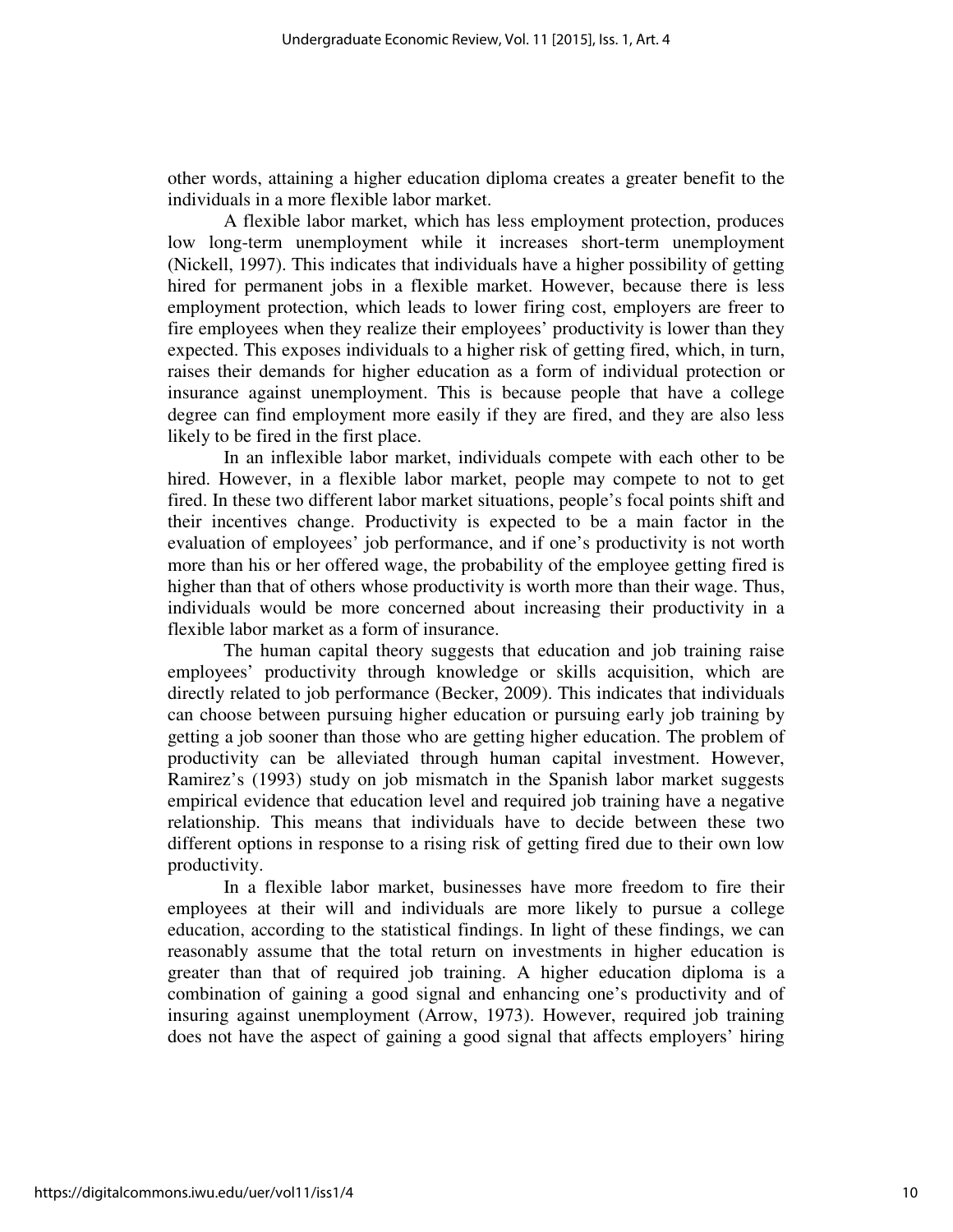other words, attaining a higher education diploma creates a greater benefit to the individuals in a more flexible labor market.

 A flexible labor market, which has less employment protection, produces low long-term unemployment while it increases short-term unemployment (Nickell, 1997). This indicates that individuals have a higher possibility of getting hired for permanent jobs in a flexible market. However, because there is less employment protection, which leads to lower firing cost, employers are freer to fire employees when they realize their employees' productivity is lower than they expected. This exposes individuals to a higher risk of getting fired, which, in turn, raises their demands for higher education as a form of individual protection or insurance against unemployment. This is because people that have a college degree can find employment more easily if they are fired, and they are also less likely to be fired in the first place.

 In an inflexible labor market, individuals compete with each other to be hired. However, in a flexible labor market, people may compete to not to get fired. In these two different labor market situations, people's focal points shift and their incentives change. Productivity is expected to be a main factor in the evaluation of employees' job performance, and if one's productivity is not worth more than his or her offered wage, the probability of the employee getting fired is higher than that of others whose productivity is worth more than their wage. Thus, individuals would be more concerned about increasing their productivity in a flexible labor market as a form of insurance.

 The human capital theory suggests that education and job training raise employees' productivity through knowledge or skills acquisition, which are directly related to job performance (Becker, 2009). This indicates that individuals can choose between pursuing higher education or pursuing early job training by getting a job sooner than those who are getting higher education. The problem of productivity can be alleviated through human capital investment. However, Ramirez's (1993) study on job mismatch in the Spanish labor market suggests empirical evidence that education level and required job training have a negative relationship. This means that individuals have to decide between these two different options in response to a rising risk of getting fired due to their own low productivity.

 In a flexible labor market, businesses have more freedom to fire their employees at their will and individuals are more likely to pursue a college education, according to the statistical findings. In light of these findings, we can reasonably assume that the total return on investments in higher education is greater than that of required job training. A higher education diploma is a combination of gaining a good signal and enhancing one's productivity and of insuring against unemployment (Arrow, 1973). However, required job training does not have the aspect of gaining a good signal that affects employers' hiring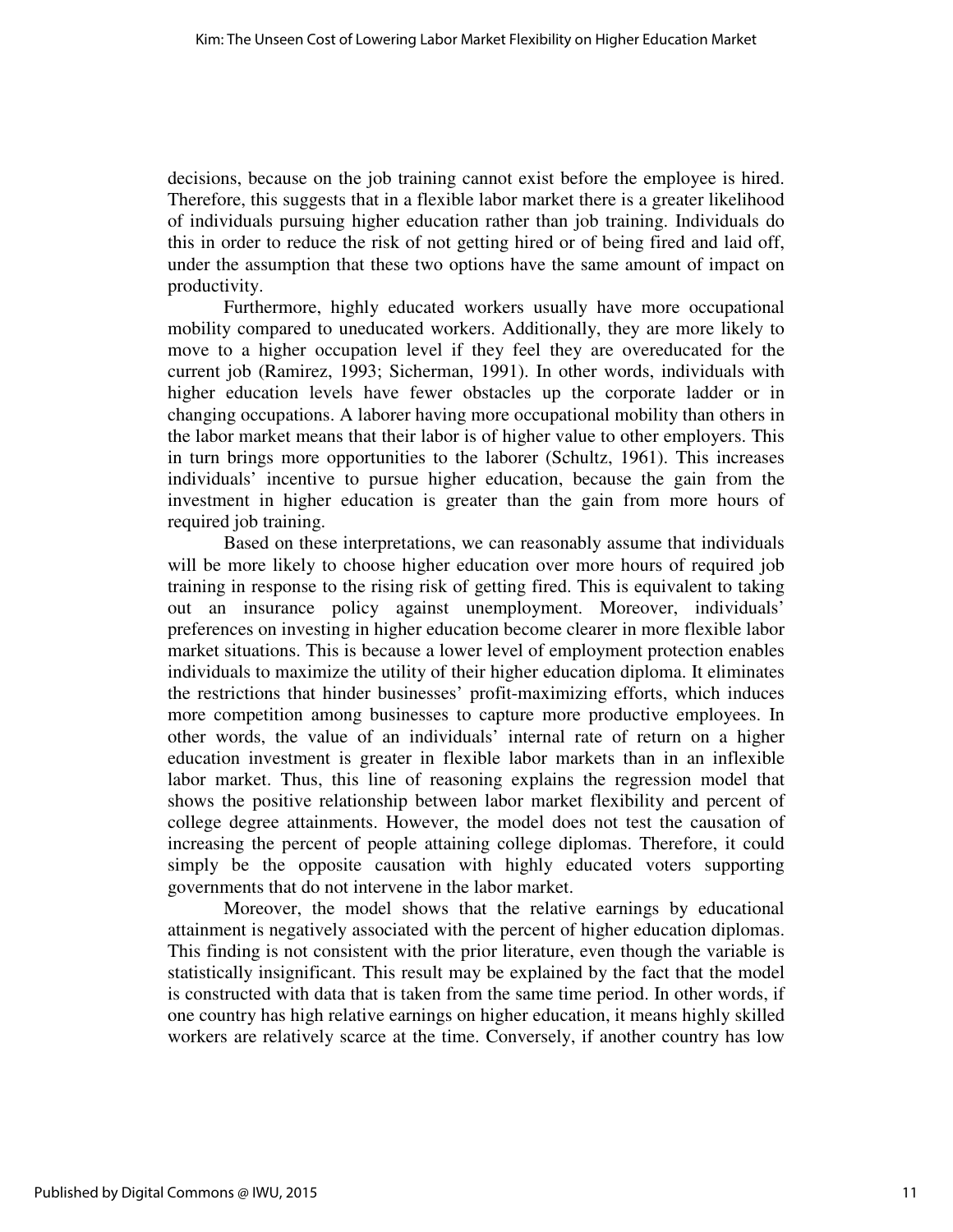decisions, because on the job training cannot exist before the employee is hired. Therefore, this suggests that in a flexible labor market there is a greater likelihood of individuals pursuing higher education rather than job training. Individuals do this in order to reduce the risk of not getting hired or of being fired and laid off, under the assumption that these two options have the same amount of impact on productivity.

 Furthermore, highly educated workers usually have more occupational mobility compared to uneducated workers. Additionally, they are more likely to move to a higher occupation level if they feel they are overeducated for the current job (Ramirez, 1993; Sicherman, 1991). In other words, individuals with higher education levels have fewer obstacles up the corporate ladder or in changing occupations. A laborer having more occupational mobility than others in the labor market means that their labor is of higher value to other employers. This in turn brings more opportunities to the laborer (Schultz, 1961). This increases individuals' incentive to pursue higher education, because the gain from the investment in higher education is greater than the gain from more hours of required job training.

 Based on these interpretations, we can reasonably assume that individuals will be more likely to choose higher education over more hours of required job training in response to the rising risk of getting fired. This is equivalent to taking out an insurance policy against unemployment. Moreover, individuals' preferences on investing in higher education become clearer in more flexible labor market situations. This is because a lower level of employment protection enables individuals to maximize the utility of their higher education diploma. It eliminates the restrictions that hinder businesses' profit-maximizing efforts, which induces more competition among businesses to capture more productive employees. In other words, the value of an individuals' internal rate of return on a higher education investment is greater in flexible labor markets than in an inflexible labor market. Thus, this line of reasoning explains the regression model that shows the positive relationship between labor market flexibility and percent of college degree attainments. However, the model does not test the causation of increasing the percent of people attaining college diplomas. Therefore, it could simply be the opposite causation with highly educated voters supporting governments that do not intervene in the labor market.

 Moreover, the model shows that the relative earnings by educational attainment is negatively associated with the percent of higher education diplomas. This finding is not consistent with the prior literature, even though the variable is statistically insignificant. This result may be explained by the fact that the model is constructed with data that is taken from the same time period. In other words, if one country has high relative earnings on higher education, it means highly skilled workers are relatively scarce at the time. Conversely, if another country has low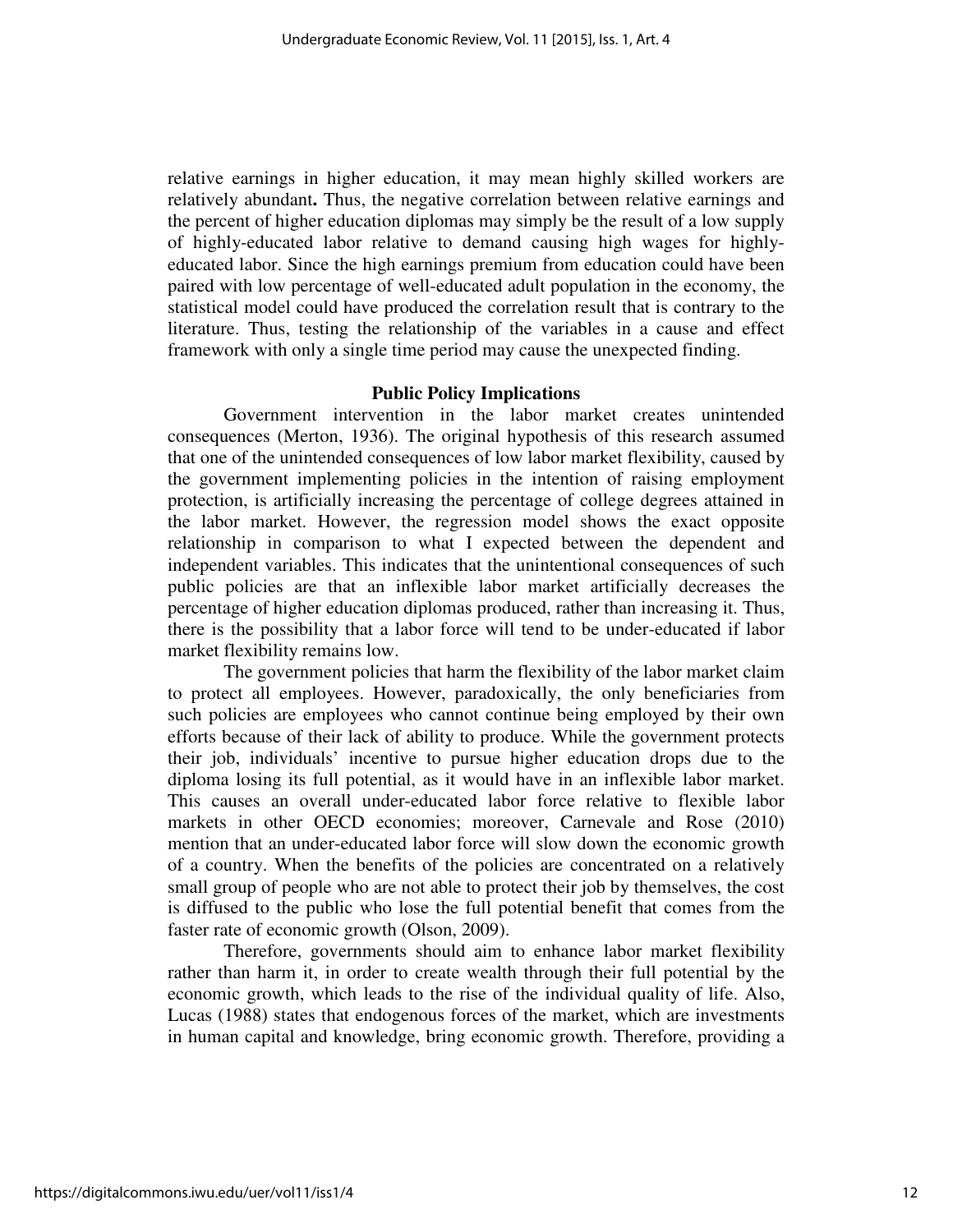relative earnings in higher education, it may mean highly skilled workers are relatively abundant**.** Thus, the negative correlation between relative earnings and the percent of higher education diplomas may simply be the result of a low supply of highly-educated labor relative to demand causing high wages for highlyeducated labor. Since the high earnings premium from education could have been paired with low percentage of well-educated adult population in the economy, the statistical model could have produced the correlation result that is contrary to the literature. Thus, testing the relationship of the variables in a cause and effect framework with only a single time period may cause the unexpected finding.

#### **Public Policy Implications**

 Government intervention in the labor market creates unintended consequences (Merton, 1936). The original hypothesis of this research assumed that one of the unintended consequences of low labor market flexibility, caused by the government implementing policies in the intention of raising employment protection, is artificially increasing the percentage of college degrees attained in the labor market. However, the regression model shows the exact opposite relationship in comparison to what I expected between the dependent and independent variables. This indicates that the unintentional consequences of such public policies are that an inflexible labor market artificially decreases the percentage of higher education diplomas produced, rather than increasing it. Thus, there is the possibility that a labor force will tend to be under-educated if labor market flexibility remains low.

 The government policies that harm the flexibility of the labor market claim to protect all employees. However, paradoxically, the only beneficiaries from such policies are employees who cannot continue being employed by their own efforts because of their lack of ability to produce. While the government protects their job, individuals' incentive to pursue higher education drops due to the diploma losing its full potential, as it would have in an inflexible labor market. This causes an overall under-educated labor force relative to flexible labor markets in other OECD economies; moreover, Carnevale and Rose (2010) mention that an under-educated labor force will slow down the economic growth of a country. When the benefits of the policies are concentrated on a relatively small group of people who are not able to protect their job by themselves, the cost is diffused to the public who lose the full potential benefit that comes from the faster rate of economic growth (Olson, 2009).

 Therefore, governments should aim to enhance labor market flexibility rather than harm it, in order to create wealth through their full potential by the economic growth, which leads to the rise of the individual quality of life. Also, Lucas (1988) states that endogenous forces of the market, which are investments in human capital and knowledge, bring economic growth. Therefore, providing a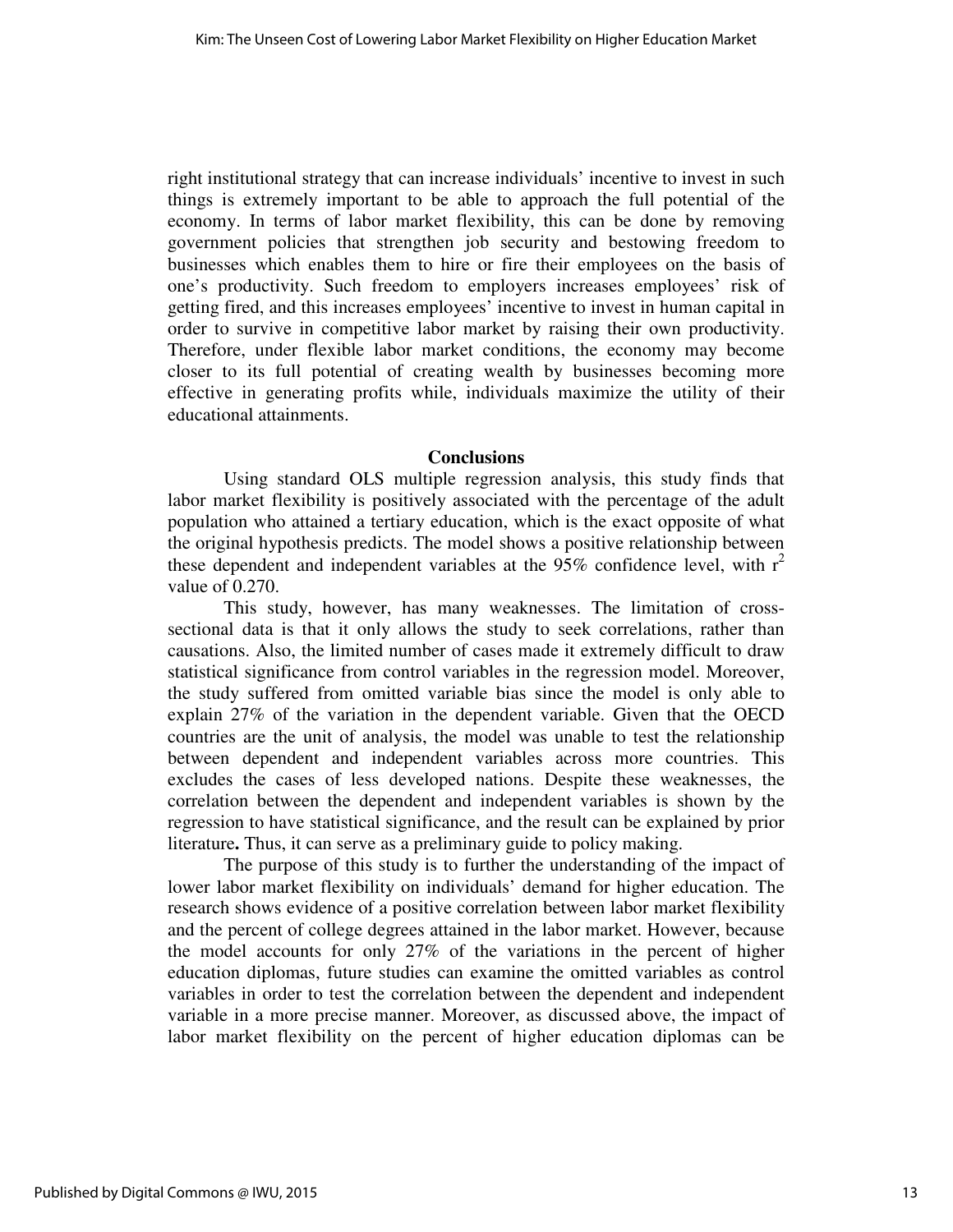right institutional strategy that can increase individuals' incentive to invest in such things is extremely important to be able to approach the full potential of the economy. In terms of labor market flexibility, this can be done by removing government policies that strengthen job security and bestowing freedom to businesses which enables them to hire or fire their employees on the basis of one's productivity. Such freedom to employers increases employees' risk of getting fired, and this increases employees' incentive to invest in human capital in order to survive in competitive labor market by raising their own productivity. Therefore, under flexible labor market conditions, the economy may become closer to its full potential of creating wealth by businesses becoming more effective in generating profits while, individuals maximize the utility of their educational attainments.

#### **Conclusions**

Using standard OLS multiple regression analysis, this study finds that labor market flexibility is positively associated with the percentage of the adult population who attained a tertiary education, which is the exact opposite of what the original hypothesis predicts. The model shows a positive relationship between these dependent and independent variables at the  $95\%$  confidence level, with  $r^2$ value of 0.270.

 This study, however, has many weaknesses. The limitation of crosssectional data is that it only allows the study to seek correlations, rather than causations. Also, the limited number of cases made it extremely difficult to draw statistical significance from control variables in the regression model. Moreover, the study suffered from omitted variable bias since the model is only able to explain 27% of the variation in the dependent variable. Given that the OECD countries are the unit of analysis, the model was unable to test the relationship between dependent and independent variables across more countries. This excludes the cases of less developed nations. Despite these weaknesses, the correlation between the dependent and independent variables is shown by the regression to have statistical significance, and the result can be explained by prior literature**.** Thus, it can serve as a preliminary guide to policy making.

 The purpose of this study is to further the understanding of the impact of lower labor market flexibility on individuals' demand for higher education. The research shows evidence of a positive correlation between labor market flexibility and the percent of college degrees attained in the labor market. However, because the model accounts for only 27% of the variations in the percent of higher education diplomas, future studies can examine the omitted variables as control variables in order to test the correlation between the dependent and independent variable in a more precise manner. Moreover, as discussed above, the impact of labor market flexibility on the percent of higher education diplomas can be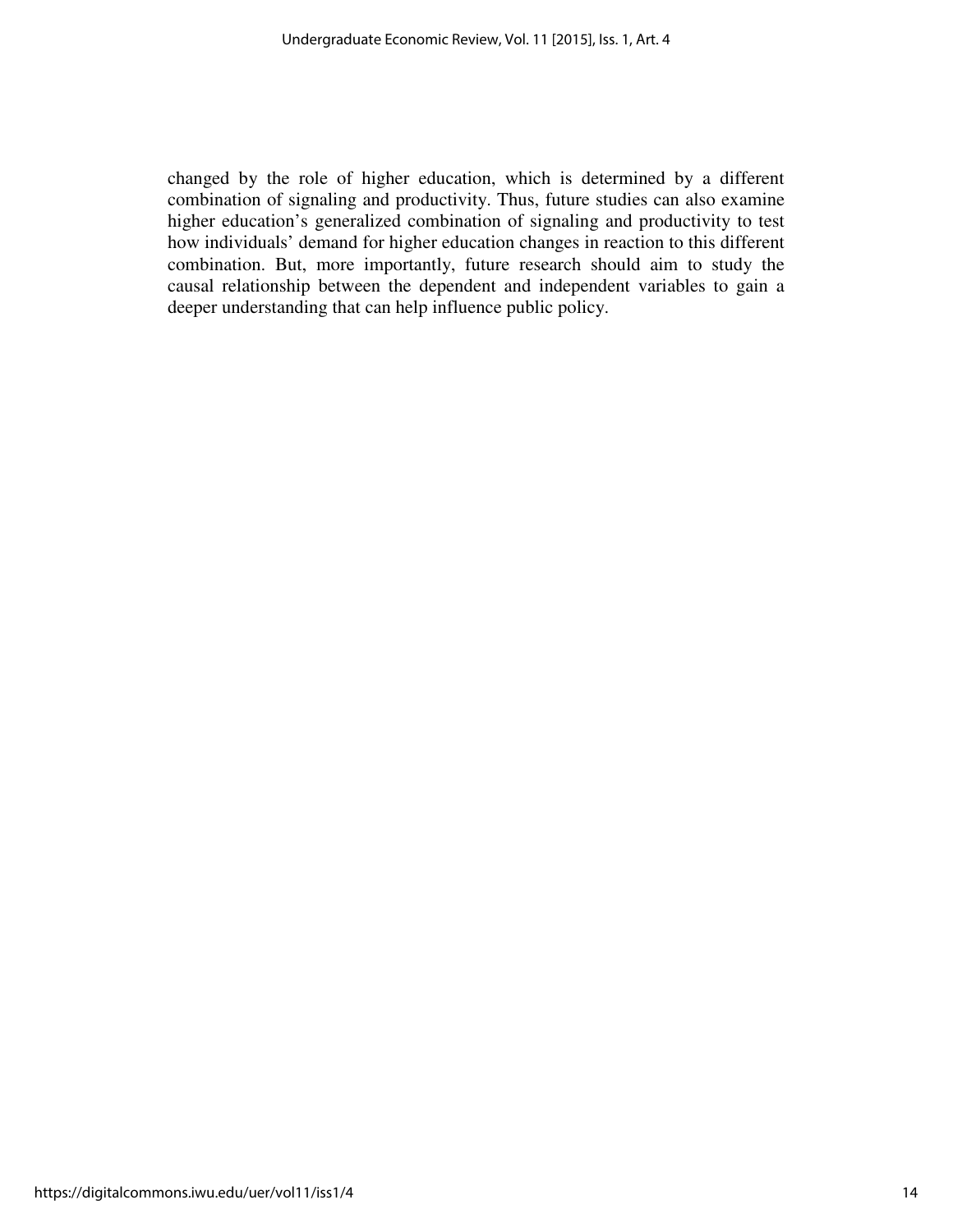changed by the role of higher education, which is determined by a different combination of signaling and productivity. Thus, future studies can also examine higher education's generalized combination of signaling and productivity to test how individuals' demand for higher education changes in reaction to this different combination. But, more importantly, future research should aim to study the causal relationship between the dependent and independent variables to gain a deeper understanding that can help influence public policy.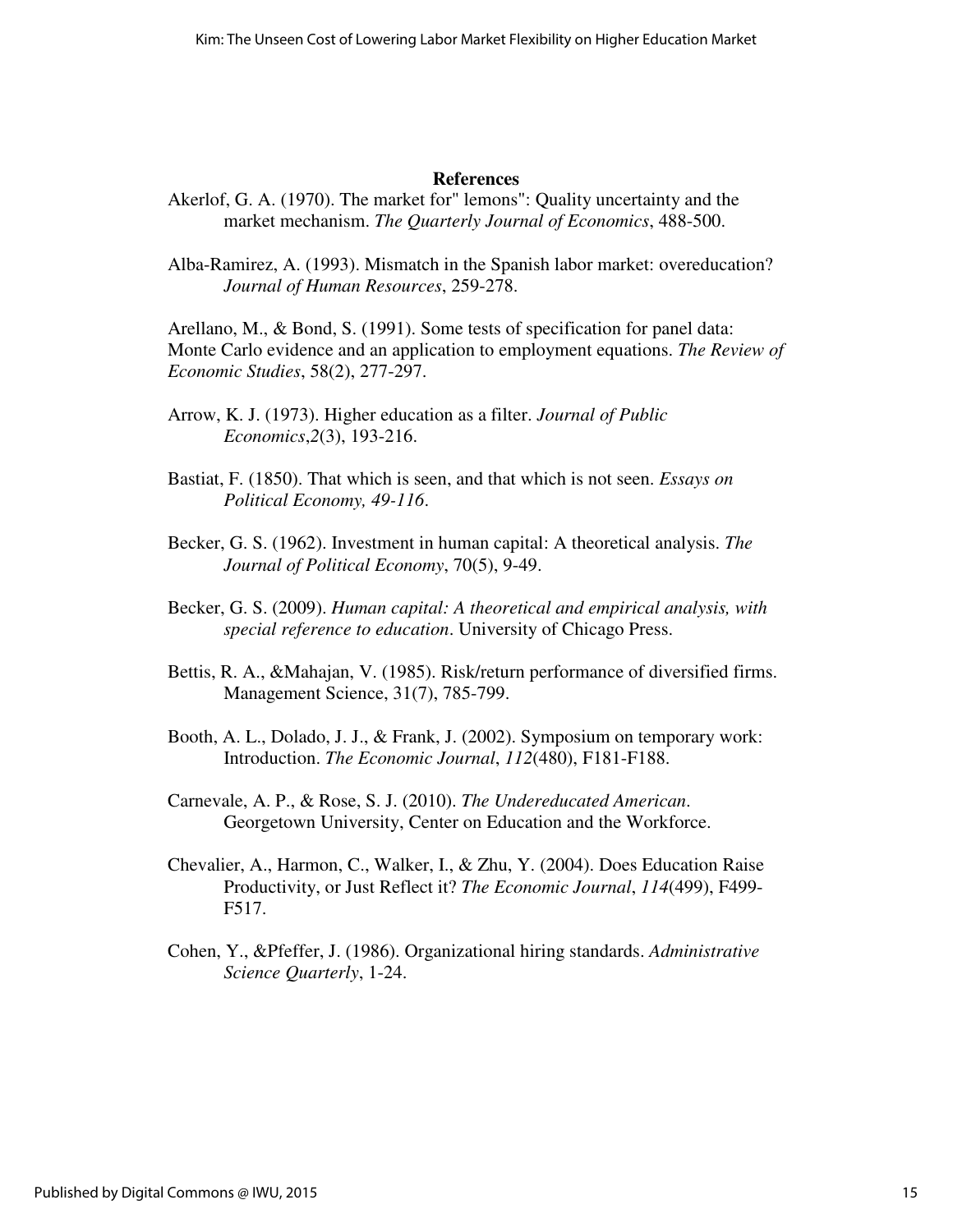#### **References**

- Akerlof, G. A. (1970). The market for" lemons": Quality uncertainty and the market mechanism. *The Quarterly Journal of Economics*, 488-500.
- Alba-Ramirez, A. (1993). Mismatch in the Spanish labor market: overeducation? *Journal of Human Resources*, 259-278.

Arellano, M., & Bond, S. (1991). Some tests of specification for panel data: Monte Carlo evidence and an application to employment equations. *The Review of Economic Studies*, 58(2), 277-297.

- Arrow, K. J. (1973). Higher education as a filter. *Journal of Public Economics*,*2*(3), 193-216.
- Bastiat, F. (1850). That which is seen, and that which is not seen. *Essays on Political Economy, 49-116*.
- Becker, G. S. (1962). Investment in human capital: A theoretical analysis. *The Journal of Political Economy*, 70(5), 9-49.
- Becker, G. S. (2009). *Human capital: A theoretical and empirical analysis, with special reference to education*. University of Chicago Press.
- Bettis, R. A., &Mahajan, V. (1985). Risk/return performance of diversified firms. Management Science, 31(7), 785-799.
- Booth, A. L., Dolado, J. J., & Frank, J. (2002). Symposium on temporary work: Introduction. *The Economic Journal*, *112*(480), F181-F188.
- Carnevale, A. P., & Rose, S. J. (2010). *The Undereducated American*. Georgetown University, Center on Education and the Workforce.
- Chevalier, A., Harmon, C., Walker, I., & Zhu, Y. (2004). Does Education Raise Productivity, or Just Reflect it? *The Economic Journal*, *114*(499), F499- F517.
- Cohen, Y., &Pfeffer, J. (1986). Organizational hiring standards. *Administrative Science Quarterly*, 1-24.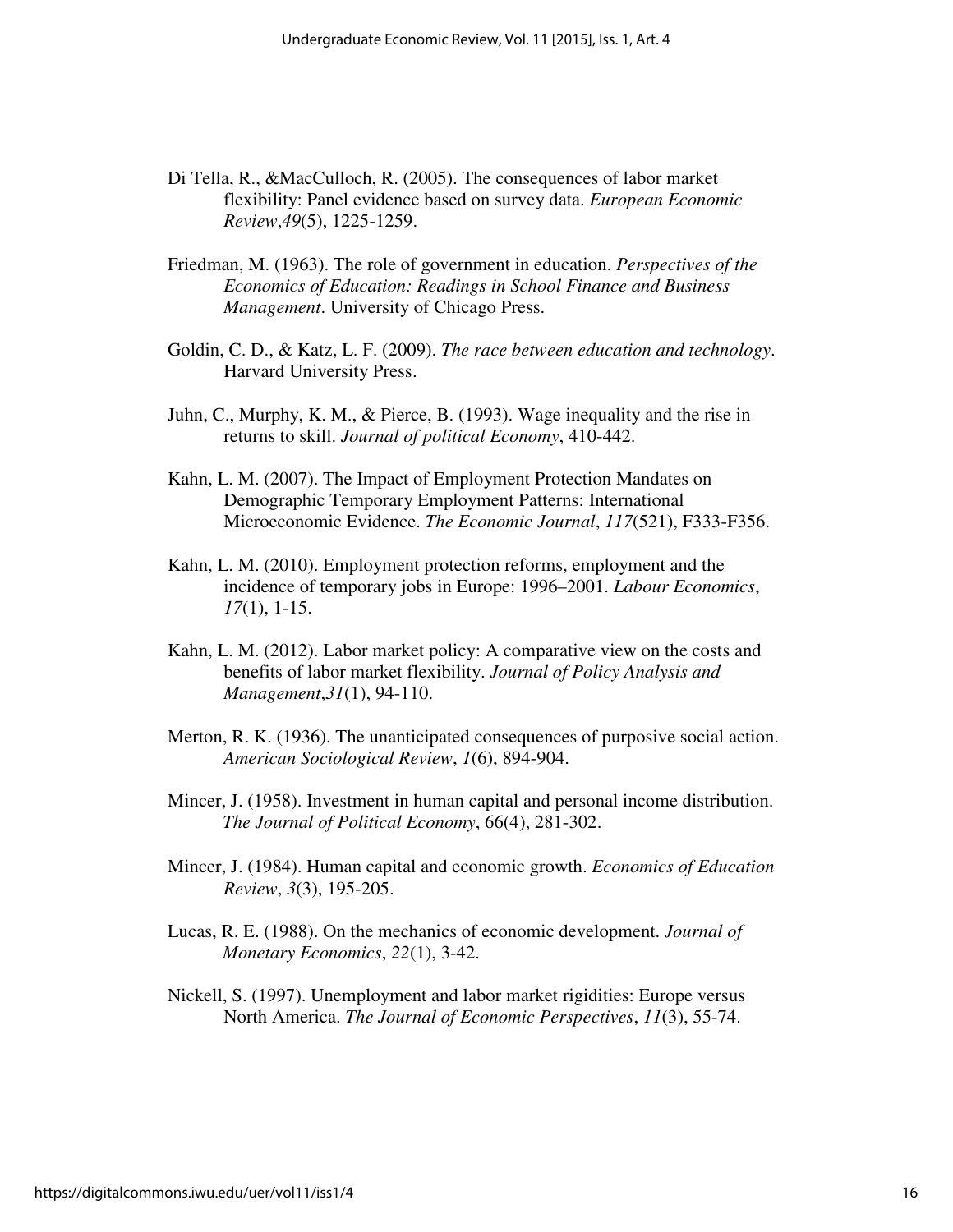- Di Tella, R., &MacCulloch, R. (2005). The consequences of labor market flexibility: Panel evidence based on survey data. *European Economic Review*,*49*(5), 1225-1259.
- Friedman, M. (1963). The role of government in education. *Perspectives of the Economics of Education: Readings in School Finance and Business Management*. University of Chicago Press.
- Goldin, C. D., & Katz, L. F. (2009). *The race between education and technology*. Harvard University Press.
- Juhn, C., Murphy, K. M., & Pierce, B. (1993). Wage inequality and the rise in returns to skill. *Journal of political Economy*, 410-442.
- Kahn, L. M. (2007). The Impact of Employment Protection Mandates on Demographic Temporary Employment Patterns: International Microeconomic Evidence. *The Economic Journal*, *117*(521), F333-F356.
- Kahn, L. M. (2010). Employment protection reforms, employment and the incidence of temporary jobs in Europe: 1996–2001. *Labour Economics*, *17*(1), 1-15.
- Kahn, L. M. (2012). Labor market policy: A comparative view on the costs and benefits of labor market flexibility. *Journal of Policy Analysis and Management*,*31*(1), 94-110.
- Merton, R. K. (1936). The unanticipated consequences of purposive social action. *American Sociological Review*, *1*(6), 894-904.
- Mincer, J. (1958). Investment in human capital and personal income distribution. *The Journal of Political Economy*, 66(4), 281-302.
- Mincer, J. (1984). Human capital and economic growth. *Economics of Education Review*, *3*(3), 195-205.
- Lucas, R. E. (1988). On the mechanics of economic development. *Journal of Monetary Economics*, *22*(1), 3-42.
- Nickell, S. (1997). Unemployment and labor market rigidities: Europe versus North America. *The Journal of Economic Perspectives*, *11*(3), 55-74.